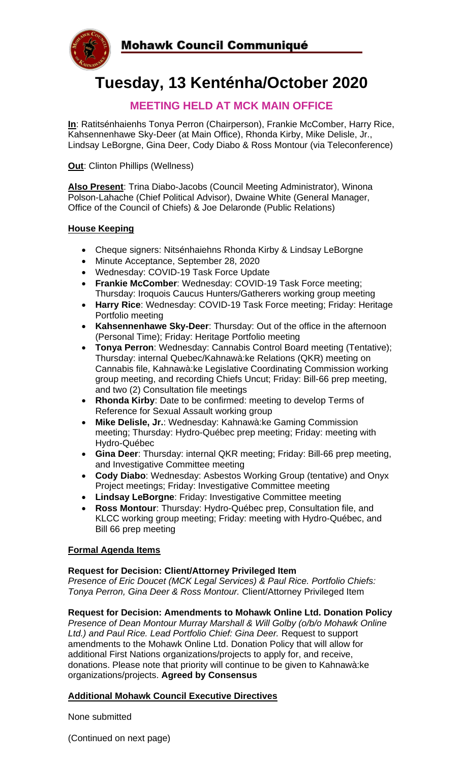

# **Tuesday, 13 Kenténha/October 2020**

## **MEETING HELD AT MCK MAIN OFFICE**

**In**: Ratitsénhaienhs Tonya Perron (Chairperson), Frankie McComber, Harry Rice, Kahsennenhawe Sky-Deer (at Main Office), Rhonda Kirby, Mike Delisle, Jr., Lindsay LeBorgne, Gina Deer, Cody Diabo & Ross Montour (via Teleconference)

**Out**: Clinton Phillips (Wellness)

**Also Present**: Trina Diabo-Jacobs (Council Meeting Administrator), Winona Polson-Lahache (Chief Political Advisor), Dwaine White (General Manager, Office of the Council of Chiefs) & Joe Delaronde (Public Relations)

#### **House Keeping**

- Cheque signers: Nitsénhaiehns Rhonda Kirby & Lindsay LeBorgne
- Minute Acceptance, September 28, 2020
- Wednesday: COVID-19 Task Force Update
- **Frankie McComber**: Wednesday: COVID-19 Task Force meeting; Thursday: Iroquois Caucus Hunters/Gatherers working group meeting
- **Harry Rice**: Wednesday: COVID-19 Task Force meeting; Friday: Heritage Portfolio meeting
- **Kahsennenhawe Sky-Deer**: Thursday: Out of the office in the afternoon (Personal Time); Friday: Heritage Portfolio meeting
- **Tonya Perron**: Wednesday: Cannabis Control Board meeting (Tentative); Thursday: internal Quebec/Kahnawà:ke Relations (QKR) meeting on Cannabis file, Kahnawà:ke Legislative Coordinating Commission working group meeting, and recording Chiefs Uncut; Friday: Bill-66 prep meeting, and two (2) Consultation file meetings
- **Rhonda Kirby**: Date to be confirmed: meeting to develop Terms of Reference for Sexual Assault working group
- **Mike Delisle, Jr.**: Wednesday: Kahnawà:ke Gaming Commission meeting; Thursday: Hydro-Québec prep meeting; Friday: meeting with Hydro-Québec
- **Gina Deer**: Thursday: internal QKR meeting; Friday: Bill-66 prep meeting, and Investigative Committee meeting
- **Cody Diabo**: Wednesday: Asbestos Working Group (tentative) and Onyx Project meetings; Friday: Investigative Committee meeting
- **Lindsay LeBorgne**: Friday: Investigative Committee meeting
- **Ross Montour**: Thursday: Hydro-Québec prep, Consultation file, and KLCC working group meeting; Friday: meeting with Hydro-Québec, and Bill 66 prep meeting

#### **Formal Agenda Items**

#### **Request for Decision: Client/Attorney Privileged Item**

*Presence of Eric Doucet (MCK Legal Services) & Paul Rice. Portfolio Chiefs: Tonya Perron, Gina Deer & Ross Montour.* Client/Attorney Privileged Item

#### **Request for Decision: Amendments to Mohawk Online Ltd. Donation Policy**

*Presence of Dean Montour Murray Marshall & Will Golby (o/b/o Mohawk Online Ltd.) and Paul Rice. Lead Portfolio Chief: Gina Deer.* Request to support amendments to the Mohawk Online Ltd. Donation Policy that will allow for additional First Nations organizations/projects to apply for, and receive, donations. Please note that priority will continue to be given to Kahnawà:ke organizations/projects. **Agreed by Consensus**

#### **Additional Mohawk Council Executive Directives**

None submitted

(Continued on next page)